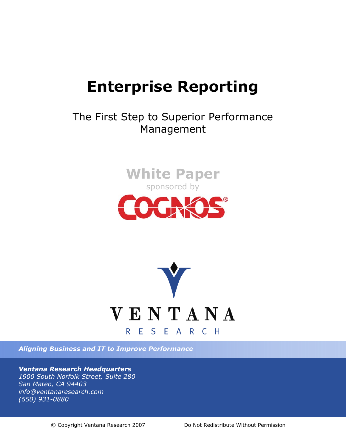# **Enterprise Reporting**

## The First Step to Superior Performance Management





*Aligning Business and IT to Improve Performance*

*Ventana Research Headquarters 1900 South Norfolk Street, Suite 280 San Mateo, CA 94403 info@ventanaresearch.com (650) 931-0880*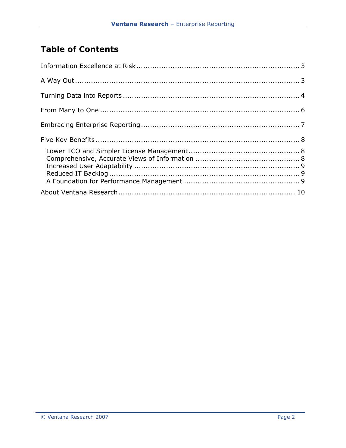## **Table of Contents**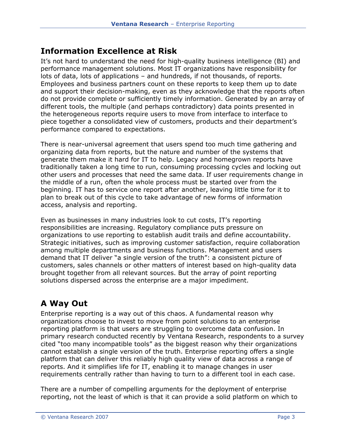#### <span id="page-2-0"></span>**Information Excellence at Risk**

It's not hard to understand the need for high-quality business intelligence (BI) and performance management solutions. Most IT organizations have responsibility for lots of data, lots of applications – and hundreds, if not thousands, of reports. Employees and business partners count on these reports to keep them up to date and support their decision-making, even as they acknowledge that the reports often do not provide complete or sufficiently timely information. Generated by an array of different tools, the multiple (and perhaps contradictory) data points presented in the heterogeneous reports require users to move from interface to interface to piece together a consolidated view of customers, products and their department's performance compared to expectations.

There is near-universal agreement that users spend too much time gathering and organizing data from reports, but the nature and number of the systems that generate them make it hard for IT to help. Legacy and homegrown reports have traditionally taken a long time to run, consuming processing cycles and locking out other users and processes that need the same data. If user requirements change in the middle of a run, often the whole process must be started over from the beginning. IT has to service one report after another, leaving little time for it to plan to break out of this cycle to take advantage of new forms of information access, analysis and reporting.

Even as businesses in many industries look to cut costs, IT's reporting responsibilities are increasing. Regulatory compliance puts pressure on organizations to use reporting to establish audit trails and define accountability. Strategic initiatives, such as improving customer satisfaction, require collaboration among multiple departments and business functions. Management and users demand that IT deliver "a single version of the truth": a consistent picture of customers, sales channels or other matters of interest based on high-quality data brought together from all relevant sources. But the array of point reporting solutions dispersed across the enterprise are a major impediment.

## **A Way Out**

Enterprise reporting is a way out of this chaos. A fundamental reason why organizations choose to invest to move from point solutions to an enterprise reporting platform is that users are struggling to overcome data confusion. In primary research conducted recently by Ventana Research, respondents to a survey cited "too many incompatible tools" as the biggest reason why their organizations cannot establish a single version of the truth. Enterprise reporting offers a single platform that can deliver this reliably high quality view of data across a range of reports. And it simplifies life for IT, enabling it to manage changes in user requirements centrally rather than having to turn to a different tool in each case.

There are a number of compelling arguments for the deployment of enterprise reporting, not the least of which is that it can provide a solid platform on which to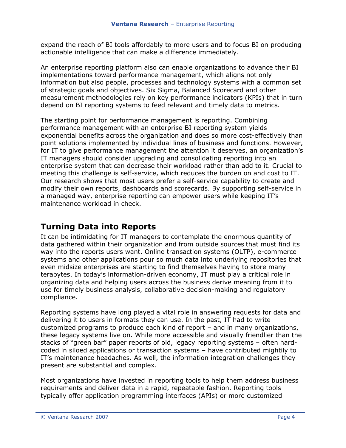<span id="page-3-0"></span>expand the reach of BI tools affordably to more users and to focus BI on producing actionable intelligence that can make a difference immediately.

An enterprise reporting platform also can enable organizations to advance their BI implementations toward performance management, which aligns not only information but also people, processes and technology systems with a common set of strategic goals and objectives. Six Sigma, Balanced Scorecard and other measurement methodologies rely on key performance indicators (KPIs) that in turn depend on BI reporting systems to feed relevant and timely data to metrics.

The starting point for performance management is reporting. Combining performance management with an enterprise BI reporting system yields exponential benefits across the organization and does so more cost-effectively than point solutions implemented by individual lines of business and functions. However, for IT to give performance management the attention it deserves, an organization's IT managers should consider upgrading and consolidating reporting into an enterprise system that can decrease their workload rather than add to it. Crucial to meeting this challenge is self-service, which reduces the burden on and cost to IT. Our research shows that most users prefer a self-service capability to create and modify their own reports, dashboards and scorecards. By supporting self-service in a managed way, enterprise reporting can empower users while keeping IT's maintenance workload in check.

## **Turning Data into Reports**

It can be intimidating for IT managers to contemplate the enormous quantity of data gathered within their organization and from outside sources that must find its way into the reports users want. Online transaction systems (OLTP), e-commerce systems and other applications pour so much data into underlying repositories that even midsize enterprises are starting to find themselves having to store many terabytes. In today's information-driven economy, IT must play a critical role in organizing data and helping users across the business derive meaning from it to use for timely business analysis, collaborative decision-making and regulatory compliance.

Reporting systems have long played a vital role in answering requests for data and delivering it to users in formats they can use. In the past, IT had to write customized programs to produce each kind of report – and in many organizations, these legacy systems live on. While more accessible and visually friendlier than the stacks of "green bar" paper reports of old, legacy reporting systems – often hardcoded in siloed applications or transaction systems – have contributed mightily to IT's maintenance headaches. As well, the information integration challenges they present are substantial and complex.

Most organizations have invested in reporting tools to help them address business requirements and deliver data in a rapid, repeatable fashion. Reporting tools typically offer application programming interfaces (APIs) or more customized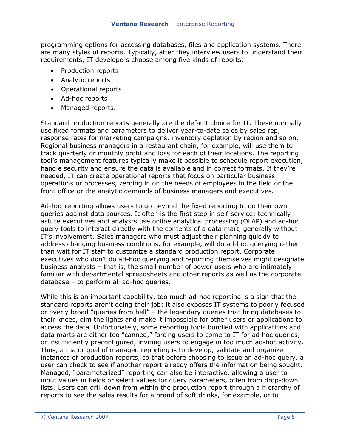programming options for accessing databases, files and application systems. There are many styles of reports. Typically, after they interview users to understand their requirements, IT developers choose among five kinds of reports:

- Production reports
- Analytic reports
- Operational reports
- Ad-hoc reports
- Managed reports.

Standard production reports generally are the default choice for IT. These normally use fixed formats and parameters to deliver year-to-date sales by sales rep, response rates for marketing campaigns, inventory depletion by region and so on. Regional business managers in a restaurant chain, for example, will use them to track quarterly or monthly profit and loss for each of their locations. The reporting tool's management features typically make it possible to schedule report execution, handle security and ensure the data is available and in correct formats. If they're needed, IT can create operational reports that focus on particular business operations or processes, zeroing in on the needs of employees in the field or the front office or the analytic demands of business managers and executives.

Ad-hoc reporting allows users to go beyond the fixed reporting to do their own queries against data sources. It often is the first step in self-service; technically astute executives and analysts use online analytical processing (OLAP) and ad-hoc query tools to interact directly with the contents of a data mart, generally without IT's involvement. Sales managers who must adjust their planning quickly to address changing business conditions, for example, will do ad-hoc querying rather than wait for IT staff to customize a standard production report. Corporate executives who don't do ad-hoc querying and reporting themselves might designate business analysts – that is, the small number of power users who are intimately familiar with departmental spreadsheets and other reports as well as the corporate database – to perform all ad-hoc queries.

While this is an important capability, too much ad-hoc reporting is a sign that the standard reports aren't doing their job; it also exposes IT systems to poorly focused or overly broad "queries from hell" – the legendary queries that bring databases to their knees, dim the lights and make it impossible for other users or applications to access the data. Unfortunately, some reporting tools bundled with applications and data marts are either too "canned," forcing users to come to IT for ad hoc queries, or insufficiently preconfigured, inviting users to engage in too much ad-hoc activity. Thus, a major goal of managed reporting is to develop, validate and organize instances of production reports, so that before choosing to issue an ad-hoc query, a user can check to see if another report already offers the information being sought. Managed, "parameterized" reporting can also be interactive, allowing a user to input values in fields or select values for query parameters, often from drop-down lists. Users can drill down from within the production report through a hierarchy of reports to see the sales results for a brand of soft drinks, for example, or to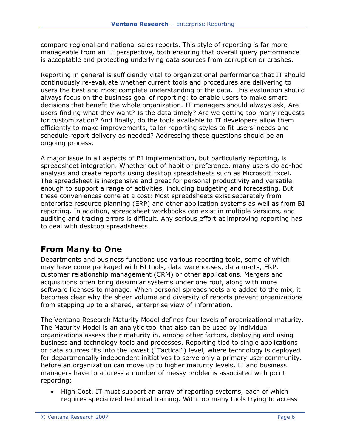<span id="page-5-0"></span>compare regional and national sales reports. This style of reporting is far more manageable from an IT perspective, both ensuring that overall query performance is acceptable and protecting underlying data sources from corruption or crashes.

Reporting in general is sufficiently vital to organizational performance that IT should continuously re-evaluate whether current tools and procedures are delivering to users the best and most complete understanding of the data. This evaluation should always focus on the business goal of reporting: to enable users to make smart decisions that benefit the whole organization. IT managers should always ask, Are users finding what they want? Is the data timely? Are we getting too many requests for customization? And finally, do the tools available to IT developers allow them efficiently to make improvements, tailor reporting styles to fit users' needs and schedule report delivery as needed? Addressing these questions should be an ongoing process.

A major issue in all aspects of BI implementation, but particularly reporting, is spreadsheet integration. Whether out of habit or preference, many users do ad-hoc analysis and create reports using desktop spreadsheets such as Microsoft Excel. The spreadsheet is inexpensive and great for personal productivity and versatile enough to support a range of activities, including budgeting and forecasting. But these conveniences come at a cost: Most spreadsheets exist separately from enterprise resource planning (ERP) and other application systems as well as from BI reporting. In addition, spreadsheet workbooks can exist in multiple versions, and auditing and tracing errors is difficult. Any serious effort at improving reporting has to deal with desktop spreadsheets.

## **From Many to One**

Departments and business functions use various reporting tools, some of which may have come packaged with BI tools, data warehouses, data marts, ERP, customer relationship management (CRM) or other applications. Mergers and acquisitions often bring dissimilar systems under one roof, along with more software licenses to manage. When personal spreadsheets are added to the mix, it becomes clear why the sheer volume and diversity of reports prevent organizations from stepping up to a shared, enterprise view of information.

The Ventana Research Maturity Model defines four levels of organizational maturity. The Maturity Model is an analytic tool that also can be used by individual organizations assess their maturity in, among other factors, deploying and using business and technology tools and processes. Reporting tied to single applications or data sources fits into the lowest ("Tactical") level, where technology is deployed for departmentally independent initiatives to serve only a primary user community. Before an organization can move up to higher maturity levels, IT and business managers have to address a number of messy problems associated with point reporting:

• High Cost. IT must support an array of reporting systems, each of which requires specialized technical training. With too many tools trying to access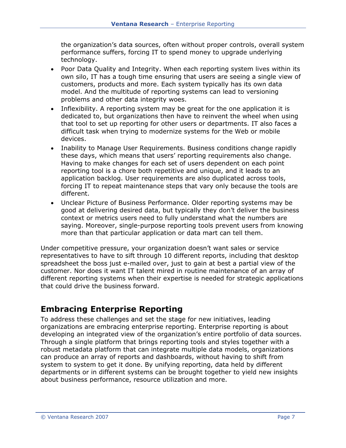<span id="page-6-0"></span>the organization's data sources, often without proper controls, overall system performance suffers, forcing IT to spend money to upgrade underlying technology.

- Poor Data Quality and Integrity. When each reporting system lives within its own silo, IT has a tough time ensuring that users are seeing a single view of customers, products and more. Each system typically has its own data model. And the multitude of reporting systems can lead to versioning problems and other data integrity woes.
- Inflexibility. A reporting system may be great for the one application it is dedicated to, but organizations then have to reinvent the wheel when using that tool to set up reporting for other users or departments. IT also faces a difficult task when trying to modernize systems for the Web or mobile devices.
- Inability to Manage User Requirements. Business conditions change rapidly these days, which means that users' reporting requirements also change. Having to make changes for each set of users dependent on each point reporting tool is a chore both repetitive and unique, and it leads to an application backlog. User requirements are also duplicated across tools, forcing IT to repeat maintenance steps that vary only because the tools are different.
- Unclear Picture of Business Performance. Older reporting systems may be good at delivering desired data, but typically they don't deliver the business context or metrics users need to fully understand what the numbers are saying. Moreover, single-purpose reporting tools prevent users from knowing more than that particular application or data mart can tell them.

Under competitive pressure, your organization doesn't want sales or service representatives to have to sift through 10 different reports, including that desktop spreadsheet the boss just e-mailed over, just to gain at best a partial view of the customer. Nor does it want IT talent mired in routine maintenance of an array of different reporting systems when their expertise is needed for strategic applications that could drive the business forward.

## **Embracing Enterprise Reporting**

To address these challenges and set the stage for new initiatives, leading organizations are embracing enterprise reporting. Enterprise reporting is about developing an integrated view of the organization's entire portfolio of data sources. Through a single platform that brings reporting tools and styles together with a robust metadata platform that can integrate multiple data models, organizations can produce an array of reports and dashboards, without having to shift from system to system to get it done. By unifying reporting, data held by different departments or in different systems can be brought together to yield new insights about business performance, resource utilization and more.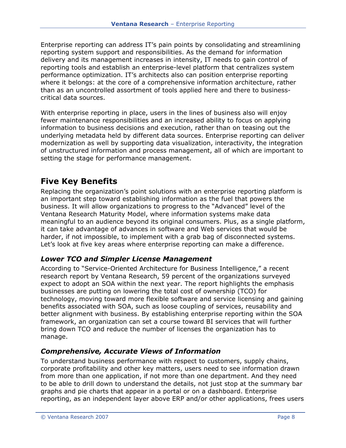<span id="page-7-0"></span>Enterprise reporting can address IT's pain points by consolidating and streamlining reporting system support and responsibilities. As the demand for information delivery and its management increases in intensity, IT needs to gain control of reporting tools and establish an enterprise-level platform that centralizes system performance optimization. IT's architects also can position enterprise reporting where it belongs: at the core of a comprehensive information architecture, rather than as an uncontrolled assortment of tools applied here and there to businesscritical data sources.

With enterprise reporting in place, users in the lines of business also will enjoy fewer maintenance responsibilities and an increased ability to focus on applying information to business decisions and execution, rather than on teasing out the underlying metadata held by different data sources. Enterprise reporting can deliver modernization as well by supporting data visualization, interactivity, the integration of unstructured information and process management, all of which are important to setting the stage for performance management.

## **Five Key Benefits**

Replacing the organization's point solutions with an enterprise reporting platform is an important step toward establishing information as the fuel that powers the business. It will allow organizations to progress to the "Advanced" level of the Ventana Research Maturity Model, where information systems make data meaningful to an audience beyond its original consumers. Plus, as a single platform, it can take advantage of advances in software and Web services that would be harder, if not impossible, to implement with a grab bag of disconnected systems. Let's look at five key areas where enterprise reporting can make a difference.

#### *Lower TCO and Simpler License Management*

According to "Service-Oriented Architecture for Business Intelligence," a recent research report by Ventana Research, 59 percent of the organizations surveyed expect to adopt an SOA within the next year. The report highlights the emphasis businesses are putting on lowering the total cost of ownership (TCO) for technology, moving toward more flexible software and service licensing and gaining benefits associated with SOA, such as loose coupling of services, reusability and better alignment with business. By establishing enterprise reporting within the SOA framework, an organization can set a course toward BI services that will further bring down TCO and reduce the number of licenses the organization has to manage.

#### *Comprehensive, Accurate Views of Information*

To understand business performance with respect to customers, supply chains, corporate profitability and other key matters, users need to see information drawn from more than one application, if not more than one department. And they need to be able to drill down to understand the details, not just stop at the summary bar graphs and pie charts that appear in a portal or on a dashboard. Enterprise reporting, as an independent layer above ERP and/or other applications, frees users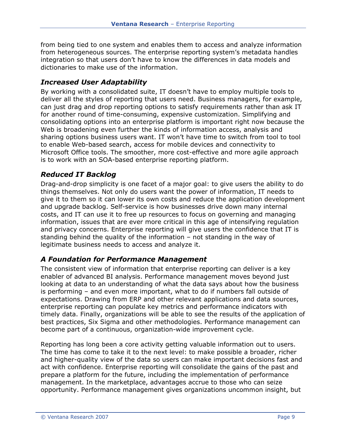<span id="page-8-0"></span>from being tied to one system and enables them to access and analyze information from heterogeneous sources. The enterprise reporting system's metadata handles integration so that users don't have to know the differences in data models and dictionaries to make use of the information.

#### *Increased User Adaptability*

By working with a consolidated suite, IT doesn't have to employ multiple tools to deliver all the styles of reporting that users need. Business managers, for example, can just drag and drop reporting options to satisfy requirements rather than ask IT for another round of time-consuming, expensive customization. Simplifying and consolidating options into an enterprise platform is important right now because the Web is broadening even further the kinds of information access, analysis and sharing options business users want. IT won't have time to switch from tool to tool to enable Web-based search, access for mobile devices and connectivity to Microsoft Office tools. The smoother, more cost-effective and more agile approach is to work with an SOA-based enterprise reporting platform.

#### *Reduced IT Backlog*

Drag-and-drop simplicity is one facet of a major goal: to give users the ability to do things themselves. Not only do users want the power of information, IT needs to give it to them so it can lower its own costs and reduce the application development and upgrade backlog. Self-service is how businesses drive down many internal costs, and IT can use it to free up resources to focus on governing and managing information, issues that are ever more critical in this age of intensifying regulation and privacy concerns. Enterprise reporting will give users the confidence that IT is standing behind the quality of the information – not standing in the way of legitimate business needs to access and analyze it.

#### *A Foundation for Performance Management*

The consistent view of information that enterprise reporting can deliver is a key enabler of advanced BI analysis. Performance management moves beyond just looking at data to an understanding of what the data says about how the business is performing – and even more important, what to do if numbers fall outside of expectations. Drawing from ERP and other relevant applications and data sources, enterprise reporting can populate key metrics and performance indicators with timely data. Finally, organizations will be able to see the results of the application of best practices, Six Sigma and other methodologies. Performance management can become part of a continuous, organization-wide improvement cycle.

Reporting has long been a core activity getting valuable information out to users. The time has come to take it to the next level: to make possible a broader, richer and higher-quality view of the data so users can make important decisions fast and act with confidence. Enterprise reporting will consolidate the gains of the past and prepare a platform for the future, including the implementation of performance management. In the marketplace, advantages accrue to those who can seize opportunity. Performance management gives organizations uncommon insight, but